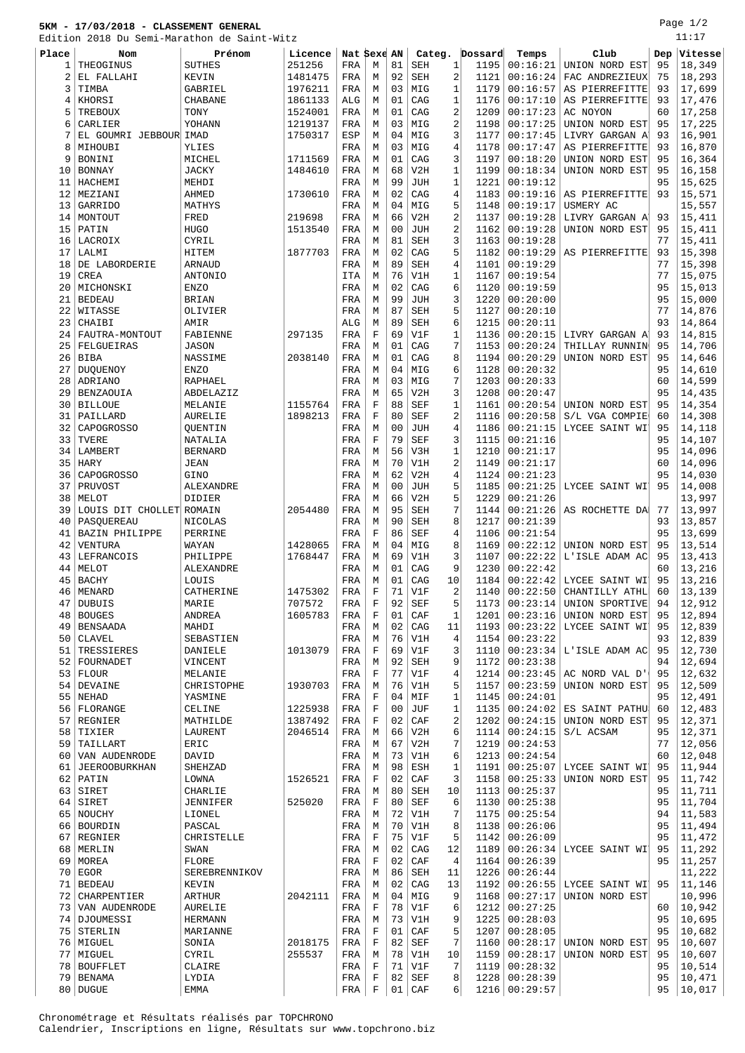## **5KM - 17/03/2018 - CLASSEMENT GENERAL**

Edition 2018 Du Semi-Marathon de Saint-Witz

Page 1/2 11:17

| Eaition |                          | 2018 Du Semi-Marathon de Saint-Witz |         |             |             |                |             |                         |         |                 |                 |     |         |
|---------|--------------------------|-------------------------------------|---------|-------------|-------------|----------------|-------------|-------------------------|---------|-----------------|-----------------|-----|---------|
| Place   | Nom                      | Prénom                              | Licence | Nat Sexe AN |             |                | Categ.      |                         | Dossard | Temps           | Club            | Dep | Vitesse |
| 1       | THEOGINUS                | <b>SUTHES</b>                       | 251256  | FRA         | М           | 81             | <b>SEH</b>  | 1                       | 1195    | 00:16:21        | UNION NORD EST  | 95  | 18,349  |
| 2       | EL FALLAHI               | KEVIN                               | 1481475 | FRA         | М           | 92             | <b>SEH</b>  | 2                       | 1121    | 00:16:24        | FAC ANDREZIEUX  | 75  | 18,293  |
| 3       |                          |                                     |         |             |             | 03             |             | $\mathbf{1}$            |         |                 |                 |     |         |
|         | TIMBA                    | GABRIEL                             | 1976211 | FRA         | М           |                | MIG         |                         | 1179    | 00:16:57        | AS PIERREFITTE  | 93  | 17,699  |
| 4       | KHORSI                   | <b>CHABANE</b>                      | 1861133 | ALG         | М           | 01             | CAG         | $\mathbf{1}$            | 1176    | 00:17:10        | AS PIERREFITTE  | 93  | 17,476  |
| 5       | <b>TREBOUX</b>           | TONY                                | 1524001 | FRA         | M           | 01             | CAG         | $\overline{2}$          | 1209    | 00:17:23        | AC NOYON        | 60  | 17,258  |
| 6       | CARLIER                  | YOHANN                              | 1219137 | FRA         | М           | 03             | MIG         | $\overline{2}$          | 1198    | 00:17:25        | UNION NORD EST  | 95  | 17,225  |
| 7       | EL GOUMRI JEBBOUR IMAD   |                                     | 1750317 | ESP         | М           | 04             | MIG         | 3                       | 1177    | 00:17:45        | LIVRY GARGAN A  | 93  | 16,901  |
| 8       | MIHOUBI                  | YLIES                               |         | FRA         | М           | 03             | MIG         | 4                       | 1178    | 00:17:47        | AS PIERREFITTE  | 93  | 16,870  |
| 9       | BONINI                   | MICHEL                              | 1711569 | FRA         | М           | 01             | CAG         | 3                       | 1197    | 00:18:20        | UNION NORD EST  | 95  | 16,364  |
|         | BONNAY                   |                                     | 1484610 |             | М           | 68             | V2H         | $\mathbf{1}$            | 1199    | 00:18:34        | UNION NORD EST  | 95  | 16,158  |
| 10      |                          | JACKY                               |         | FRA         |             |                |             |                         |         |                 |                 |     |         |
| 11      | HACHEMI                  | MEHDI                               |         | FRA         | М           | 99             | <b>JUH</b>  | $\mathbf{1}$            | 1221    | 00:19:12        |                 | 95  | 15,625  |
| 12      | MEZIANI                  | AHMED                               | 1730610 | FRA         | М           | 02             | CAG         | 4                       | 1183    | 00:19:16        | AS PIERREFITTE  | 93  | 15,571  |
| 13      | <b>GARRIDO</b>           | MATHYS                              |         | FRA         | М           | 04             | MIG         | 5                       | 1148    | 00:19:17        | USMERY AC       |     | 15,557  |
| 14      | MONTOUT                  | FRED                                | 219698  | FRA         | М           | 66             | V2H         | $\overline{2}$          | 1137    | 00:19:28        | LIVRY GARGAN A  | 93  | 15,411  |
| 15      | PATIN                    | <b>HUGO</b>                         | 1513540 | FRA         | М           | 0 <sub>0</sub> | <b>JUH</b>  | $\sqrt{2}$              | 1162    | 00:19:28        | UNION NORD EST  | 95  | 15,411  |
|         | LACROIX                  | CYRIL                               |         | FRA         | М           | 81             | <b>SEH</b>  | 3                       | 1163    | 00:19:28        |                 | 77  | 15,411  |
| 16      |                          |                                     |         |             |             |                |             |                         |         |                 |                 |     |         |
| 17      | LALMI                    | HITEM                               | 1877703 | FRA         | М           | 02             | CAG         | 5                       | 1182    | 00:19:29        | AS PIERREFITTE  | 93  | 15,398  |
| 18      | DE LABORDERIE            | ARNAUD                              |         | FRA         | М           | 89             | <b>SEH</b>  | 4                       | 1101    | 00:19:29        |                 | 77  | 15,398  |
| 19      | CREA                     | ANTONIO                             |         | ITA         | М           | 76             | V1H         | $\mathbf{1}$            | 1167    | 00:19:54        |                 | 77  | 15,075  |
| 20      | MICHONSKI                | <b>ENZO</b>                         |         | FRA         | М           | 02             | CAG         | 6                       | 1120    | 00:19:59        |                 | 95  | 15,013  |
| 21      | <b>BEDEAU</b>            | <b>BRIAN</b>                        |         | FRA         | М           | 99             | <b>JUH</b>  | 3                       | 1220    | 00:20:00        |                 | 95  | 15,000  |
| 22      | WITASSE                  | OLIVIER                             |         | FRA         | М           | 87             | SEH         | 5                       | 1127    | 00:20:10        |                 | 77  | 14,876  |
|         |                          |                                     |         |             |             |                |             |                         |         |                 |                 |     |         |
| 23      | CHAIBI                   | AMIR                                |         | ALG         | М           | 89             | <b>SEH</b>  | 6                       | 1215    | 00:20:11        |                 | 93  | 14,864  |
| 24      | FAUTRA-MONTOUT           | FABIENNE                            | 297135  | FRA         | F           | 69             | V1F         | 1                       | 1136    | 00:20:15        | LIVRY GARGAN A' | 93  | 14,815  |
| 25      | FELGUEIRAS               | <b>JASON</b>                        |         | FRA         | М           | 01             | CAG         | 7                       | 1153    | 00:20:24        | THILLAY RUNNIN  | 95  | 14,706  |
| 26      | <b>BIBA</b>              | NASSIME                             | 2038140 | FRA         | М           | 01             | CAG         | 8                       | 1194    | 00:20:29        | UNION NORD EST  | 95  | 14,646  |
| 27      | <b>DUOUENOY</b>          | <b>ENZO</b>                         |         | FRA         | М           | 04             | MIG         | 6                       | 1128    | 00:20:32        |                 | 95  | 14,610  |
| 28      | ADRIANO                  | RAPHAEL                             |         | FRA         | М           | 03             | MIG         | 7                       | 1203    | 00:20:33        |                 | 60  | 14,599  |
|         |                          |                                     |         |             |             |                |             |                         |         | 00:20:47        |                 |     |         |
| 29      | BENZAOUIA                | ABDELAZIZ                           |         | FRA         | М           | 65             | V2H         | 3                       | 1208    |                 |                 | 95  | 14,435  |
| 30      | <b>BILLOUE</b>           | MELANIE                             | 1155764 | FRA         | $\mathbf F$ | 88             | <b>SEF</b>  | $\mathbf{1}$            | 1161    | 00:20:54        | UNION NORD EST  | 95  | 14,354  |
| 31      | PAILLARD                 | AURELIE                             | 1898213 | FRA         | F           | 80             | <b>SEF</b>  | $\overline{2}$          | 1116    | 00:20:58        | S/L VGA COMPIE  | 60  | 14,308  |
| 32      | CAPOGROSSO               | QUENTIN                             |         | FRA         | М           | 0 <sub>0</sub> | <b>JUH</b>  | 4                       | 1186    | 00:21:15        | LYCEE SAINT WI' | 95  | 14,118  |
| 33      | TVERE                    | NATALIA                             |         | FRA         | F           | 79             | <b>SEF</b>  | 3                       | 1115    | 00:21:16        |                 | 95  | 14,107  |
| 34      | LAMBERT                  | <b>BERNARD</b>                      |         | FRA         | М           | 56             | V3H         | $\mathbf{1}$            | 1210    | 00:21:17        |                 | 95  | 14,096  |
| 35      | HARY                     |                                     |         |             | М           | 70             | V1H         | 2                       | 1149    | 00:21:17        |                 | 60  | 14,096  |
|         |                          | JEAN                                |         | FRA         |             |                |             |                         |         |                 |                 |     |         |
| 36      | CAPOGROSSO               | GINO                                |         | FRA         | М           | 62             | V2H         | $\overline{4}$          | 1124    | 00:21:23        |                 | 95  | 14,030  |
| 37      | PRUVOST                  | ALEXANDRE                           |         | FRA         | М           | 0 <sub>0</sub> | <b>JUH</b>  | 5                       | 1185    | 00:21:25        | LYCEE SAINT WI  | 95  | 14,008  |
| 38      | MELOT                    | DIDIER                              |         | FRA         | М           | 66             | V2H         | 5                       | 1229    | 00:21:26        |                 |     | 13,997  |
| 39      | LOUIS DIT CHOLLET ROMAIN |                                     | 2054480 | FRA         | М           | 95             | <b>SEH</b>  | 7                       | 1144    | 00:21:26        | AS ROCHETTE DAI | 77  | 13,997  |
| 40      | PASQUEREAU               | NICOLAS                             |         | FRA         | М           | 90             | <b>SEH</b>  | 8                       | 1217    | 00:21:39        |                 | 93  | 13,857  |
| 41      | <b>BAZIN PHILIPPE</b>    | PERRINE                             |         | FRA         | F           | 86             | SEF         | 4                       | 1106    | 00:21:54        |                 | 95  | 13,699  |
| 42      | VENTURA                  | WAYAN                               | 1428065 | FRA         | М           | 04             | MIG         | 8                       | 1169    | 00:22:12        | UNION NORD EST  | 95  | 13,514  |
|         |                          |                                     |         |             |             |                |             |                         |         |                 |                 |     |         |
| 43      | LEFRANCOIS               | PHILIPPE                            | 1768447 | FRA         | М           | 69             | V1H         | 3                       | 1107    | 00:22:22        | L'ISLE ADAM AC  | 95  | 13,413  |
| 44      | MELOT                    | ALEXANDRE                           |         | FRA         | М           | 01             | CAG         | 9                       | 1230    | 00:22:42        |                 | 60  | 13,216  |
| 45      | <b>BACHY</b>             | LOUIS                               |         | FRA         | М           | 01             | CAG         | 10                      | 1184    | 00:22:42        | LYCEE SAINT WI  | 95  | 13,216  |
| 46      | MENARD                   | CATHERINE                           | 1475302 | FRA         | $\mathbf F$ | 71             | V1F         | 2                       | 1140    | 00:22:50        | CHANTILLY ATHL  | 60  | 13,139  |
|         | 47   DUBUIS              | MARIE                               | 707572  | FRA         | F           | 92             | SEF         | 5                       | 1173    | 00:23:14        | UNION SPORTIVE  | 94  | 12,912  |
|         | 48   BOUGES              | ANDREA                              | 1605783 | FRA         | F           | 01             | CAF         | $1\,$                   | 1201    | 00:23:16        | UNION NORD EST  | 95  | 12,894  |
| 49      | BENSAADA                 | MAHDI                               |         | FRA         | М           | 02             | CAG         | 11                      | 1193    | 00:23:22        | LYCEE SAINT WI  | 95  | 12,839  |
| 50      |                          | SEBASTIEN                           |         | FRA         | М           | 76             | V1H         | 4                       | 1154    | 00:23:22        |                 | 93  |         |
|         | CLAVEL                   |                                     |         |             |             |                |             |                         |         |                 |                 |     | 12,839  |
| 51      | TRESSIERES               | DANIELE                             | 1013079 | FRA         | F           | 69             | V1F         | 3                       | 1110    | 00:23:34        | L'ISLE ADAM AC  | 95  | 12,730  |
| 52      | FOURNADET                | VINCENT                             |         | FRA         | М           | 92             | SEH         | 9                       | 1172    | 00:23:38        |                 | 94  | 12,694  |
|         | 53   FLOUR               | MELANIE                             |         | FRA         | F           | 77             | V1F         | 4                       | 1214    | 00:23:45        | AC NORD VAL D'  | 95  | 12,632  |
| 54      | DEVAINE                  | CHRISTOPHE                          | 1930703 | FRA         | М           | 76             | V1H         | 5                       | 1157    | 00:23:59        | UNION NORD EST  | 95  | 12,509  |
| 55      | NEHAD                    | YASMINE                             |         | FRA         | $\mathbf F$ | 04             | MIF         | $\mathbf 1$             | 1145    | 00:24:01        |                 | 95  | 12,491  |
|         | 56 FLORANGE              | CELINE                              | 1225938 | FRA         | $\mathbf F$ | 0 <sub>0</sub> | JUF         | $\mathbf{1}$            | 1135    | 00:24:02        | ES SAINT PATHU  | 60  | 12,483  |
| 57      | REGNIER                  |                                     | 1387492 | FRA         | F           | 02             | CAF         | $\overline{\mathbf{c}}$ | 1202    | 00:24:15        | UNION NORD EST  | 95  | 12,371  |
|         |                          | MATHILDE                            |         |             |             |                |             |                         |         |                 |                 |     |         |
| 58      | TIXIER                   | LAURENT                             | 2046514 | FRA         | М           | 66             | V2H         | 6                       | 1114    | 00:24:15        | S/L ACSAM       | 95  | 12,371  |
| 59      | TAILLART                 | ERIC                                |         | FRA         | М           | 67             | V2H         | 7                       | 1219    | 00:24:53        |                 | 77  | 12,056  |
|         | 60 VAN AUDENRODE         | DAVID                               |         | FRA         | М           | 73             | V1H         | 6                       | 1213    | 00:24:54        |                 | 60  | 12,048  |
| 61      | <b>JEEROOBURKHAN</b>     | SHEHZAD                             |         | FRA         | М           | 98             | ESH         | 1                       | 1191    | 00:25:07        | LYCEE SAINT WI  | 95  | 11,944  |
|         | 62 PATIN                 | LOWNA                               | 1526521 | FRA         | $\mathbf F$ | 02             | CAF         | 3                       | 1158    | 00:25:33        | UNION NORD EST  | 95  | 11,742  |
|         | 63 SIRET                 | CHARLIE                             |         | FRA         | М           | 80             | <b>SEH</b>  | 10                      | 1113    | 00:25:37        |                 | 95  | 11,711  |
|         |                          |                                     |         |             |             |                |             |                         |         |                 |                 |     |         |
|         | 64 SIRET                 | JENNIFER                            | 525020  | FRA         | $\mathbf F$ | 80             | SEF         | 6                       | 1130    | 00:25:38        |                 | 95  | 11,704  |
|         | 65 NOUCHY                | LIONEL                              |         | FRA         | М           | 72             | V1H         | 7                       | 1175    | 00:25:54        |                 | 94  | 11,583  |
| 66      | BOURDIN                  | PASCAL                              |         | FRA         | М           | 70             | V1H         | 8                       | 1138    | 00:26:06        |                 | 95  | 11,494  |
|         | 67 REGNIER               | CHRISTELLE                          |         | FRA         | F           | 75             | V1F         | 5                       | 1142    | 00:26:09        |                 | 95  | 11,472  |
| 68      | MERLIN                   | SWAN                                |         | FRA         | М           | 02             | CAG         | 12                      | 1189    | 00:26:34        | LYCEE SAINT WI  | 95  | 11,292  |
|         | 69 MOREA                 | FLORE                               |         | FRA         | F           | 02             | CAF         | $\,4$                   | 1164    | 00:26:39        |                 | 95  | 11,257  |
| 70      | EGOR                     | SEREBRENNIKOV                       |         | FRA         | М           | 86             | SEH         | 11                      | 1226    | 00:26:44        |                 |     | 11,222  |
|         |                          |                                     |         |             |             | 02             | CAG         |                         | 1192    |                 |                 | 95  |         |
|         | 71 BEDEAU                | KEVIN                               |         | FRA         | М           |                |             | 13                      |         | 00:26:55        | LYCEE SAINT WI  |     | 11,146  |
| 72      | CHARPENTIER              | ARTHUR                              | 2042111 | FRA         | М           | 04             | MIG         | 9                       | 1168    | 00:27:17        | UNION NORD EST  |     | 10,996  |
|         | 73 VAN AUDENRODE         | AURELIE                             |         | FRA         | $\mathbf F$ | 78             | V1F         | 6                       | 1212    | 00:27:25        |                 | 60  | 10,942  |
|         | 74   DJOUMESSI           | <b>HERMANN</b>                      |         | FRA         | М           | 73             | V1H         | 9                       | 1225    | 00:28:03        |                 | 95  | 10,695  |
| 75      | STERLIN                  | MARIANNE                            |         | FRA         | F           | 01             | CAF         | 5                       | 1207    | 00:28:05        |                 | 95  | 10,682  |
|         | 76   MIGUEL              | SONIA                               | 2018175 | FRA         | F           | 82             | SEF         | 7                       | 1160    | 00:28:17        | UNION NORD EST  | 95  | 10,607  |
|         | 77   MIGUEL              | CYRIL                               | 255537  | FRA         | М           | 78             | V1H         | 10                      | 1159    | 00:28:17        | UNION NORD EST  | 95  | 10,607  |
|         | 78 BOUFFLET              | CLAIRE                              |         | FRA         | F           | 71             | V1F         | 7                       | 1119    | 00:28:32        |                 | 95  | 10,514  |
|         |                          |                                     |         |             |             |                |             |                         |         |                 |                 |     |         |
| 79      | <b>BENAMA</b>            | LYDIA                               |         | FRA         | F           | 82             | SEF         | 8                       | 1228    | 00:28:39        |                 | 95  | 10,471  |
|         | 80 DUGUE                 | EMMA                                |         | FRA         | $\mathbf F$ | 01             | ${\rm CAP}$ | $6 \mid$                |         | 1216   00:29:57 |                 | 95  | 10,017  |

Chronométrage et Résultats réalisés par TOPCHRONO Calendrier, Inscriptions en ligne, Résultats sur www.topchrono.biz